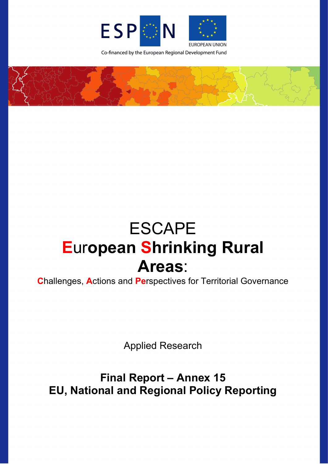

Co-financed by the European Regional Development Fund



# ESCAPE **E**ur**opean Shrinking Rural Areas**:

**C**hallenges, **A**ctions and **Pe**rspectives for Territorial Governance

Applied Research

**Final Report – Annex 15 EU, National and Regional Policy Reporting**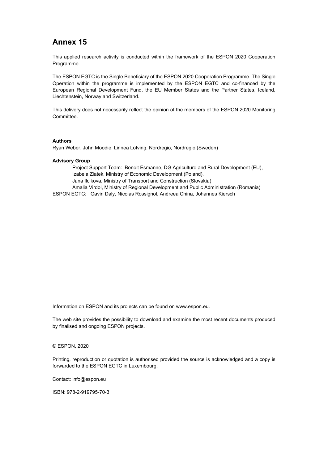# **Annex 15**

This applied research activity is conducted within the framework of the ESPON 2020 Cooperation Programme.

The ESPON EGTC is the Single Beneficiary of the ESPON 2020 Cooperation Programme. The Single Operation within the programme is implemented by the ESPON EGTC and co-financed by the European Regional Development Fund, the EU Member States and the Partner States, Iceland, Liechtenstein, Norway and Switzerland.

This delivery does not necessarily reflect the opinion of the members of the ESPON 2020 Monitoring Committee.

#### **Authors**

Ryan Weber, John Moodie, Linnea Löfving, Nordregio, Nordregio (Sweden)

#### **Advisory Group**

Project Support Team: Benoit Esmanne, DG Agriculture and Rural Development (EU), Izabela Ziatek, Ministry of Economic Development (Poland), Jana Ilcikova, Ministry of Transport and Construction (Slovakia) Amalia Virdol, Ministry of Regional Development and Public Administration (Romania)

ESPON EGTC: Gavin Daly, Nicolas Rossignol, Andreea China, Johannes Kiersch

Information on ESPON and its projects can be found o[n www.espon.eu.](https://www.espon.eu/)

The web site provides the possibility to download and examine the most recent documents produced by finalised and ongoing ESPON projects.

#### © ESPON, 2020

Printing, reproduction or quotation is authorised provided the source is acknowledged and a copy is forwarded to the ESPON EGTC in Luxembourg.

Contact: [info@espon.eu](mailto:info@espon.eu)

ISBN: 978-2-919795-70-3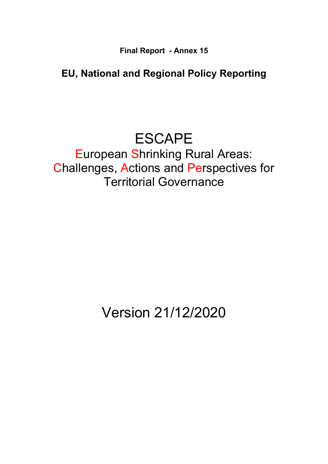**Final Report - Annex 15**

# **EU, National and Regional Policy Reporting**

# ESCAPE

European Shrinking Rural Areas: Challenges, Actions and Perspectives for Territorial Governance

# Version 21/12/2020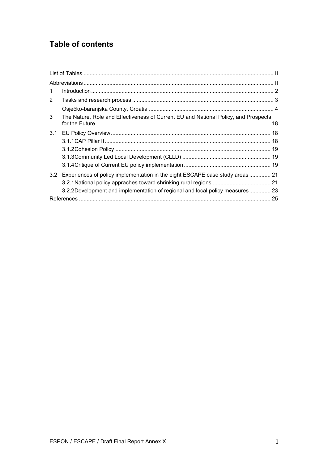# **Table of contents**

| $\mathbf{1}$   |                                                                                     |  |
|----------------|-------------------------------------------------------------------------------------|--|
| $\overline{2}$ |                                                                                     |  |
|                |                                                                                     |  |
| 3              | The Nature, Role and Effectiveness of Current EU and National Policy, and Prospects |  |
| 3.1            |                                                                                     |  |
|                |                                                                                     |  |
|                |                                                                                     |  |
|                |                                                                                     |  |
|                |                                                                                     |  |
| 3.2            | Experiences of policy implementation in the eight ESCAPE case study areas  21       |  |
|                |                                                                                     |  |
|                | 3.2.2 Development and implementation of regional and local policy measures  23      |  |
|                |                                                                                     |  |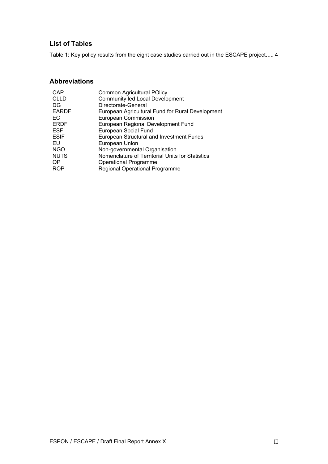# <span id="page-4-0"></span>**List of Tables**

[Table 1: Key policy results from the eight case studies carried out in the ESCAPE project](#page-7-1)**.**.... 4

## <span id="page-4-1"></span>**Abbreviations**

| CAP          | <b>Common Agricultural POlicy</b>                |
|--------------|--------------------------------------------------|
| <b>CLLD</b>  | <b>Community led Local Development</b>           |
| DG           | Directorate-General                              |
| <b>EARDF</b> | European Agricultural Fund for Rural Development |
| EC.          | <b>European Commission</b>                       |
| <b>ERDF</b>  | European Regional Development Fund               |
| <b>ESF</b>   | <b>European Social Fund</b>                      |
| <b>ESIF</b>  | <b>European Structural and Investment Funds</b>  |
| EU           | European Union                                   |
| <b>NGO</b>   | Non-governmental Organisation                    |
| <b>NUTS</b>  | Nomenclature of Territorial Units for Statistics |
| OP.          | <b>Operational Programme</b>                     |
| <b>ROP</b>   | <b>Regional Operational Programme</b>            |
|              |                                                  |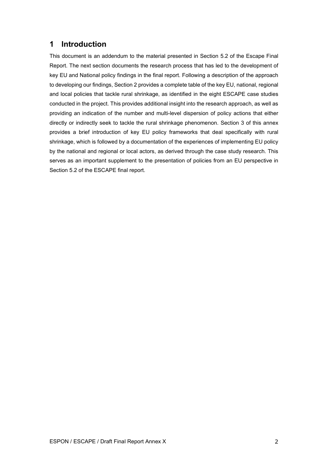# <span id="page-5-0"></span>**1 Introduction**

This document is an addendum to the material presented in Section 5.2 of the Escape Final Report. The next section documents the research process that has led to the development of key EU and National policy findings in the final report. Following a description of the approach to developing our findings, Section 2 provides a complete table of the key EU, national, regional and local policies that tackle rural shrinkage, as identified in the eight ESCAPE case studies conducted in the project. This provides additional insight into the research approach, as well as providing an indication of the number and multi-level dispersion of policy actions that either directly or indirectly seek to tackle the rural shrinkage phenomenon. Section 3 of this annex provides a brief introduction of key EU policy frameworks that deal specifically with rural shrinkage, which is followed by a documentation of the experiences of implementing EU policy by the national and regional or local actors, as derived through the case study research. This serves as an important supplement to the presentation of policies from an EU perspective in Section 5.2 of the ESCAPE final report.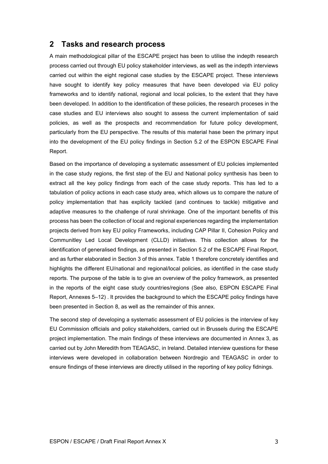# <span id="page-6-0"></span>**2 Tasks and research process**

A main methodological pillar of the ESCAPE project has been to utilise the indepth research process carried out through EU policy stakeholder interviews, as well as the indepth interviews carried out within the eight regional case studies by the ESCAPE project. These interviews have sought to identify key policy measures that have been developed via EU policy frameworks and to identify national, regional and local policies, to the extent that they have been developed. In addition to the identification of these policies, the research proceses in the case studies and EU interviews also sought to assess the current implementation of said policies, as well as the prospects and recommendation for future policy development, particularly from the EU perspective. The results of this material hase been the primary input into the development of the EU policy findings in Section 5.2 of the ESPON ESCAPE Final Report.

Based on the importance of developing a systematic assessment of EU policies implemented in the case study regions, the first step of the EU and National policy synthesis has been to extract all the key policy findings from each of the case study reports. This has led to a tabulation of policy actions in each case study area, which allows us to compare the nature of policy implementation that has explicity tackled (and continues to tackle) mitigative and adaptive measures to the challenge of rural shrinkage. One of the important benefits of this process has been the collection of local and regional experiences regarding the implementation projects derived from key EU policy Frameworks, including CAP Pillar II, Cohesion Policy and Communitley Led Local Development (CLLD) initiatives. This collection allows for the identification of generalised findings, as presented in Section 5.2 of the ESCAPE Final Report, and as further elaborated in Section 3 of this annex. Table 1 therefore concretely identifies and highlights the different EU/national and regional/local policies, as identified in the case study reports. The purpose of the table is to give an overview of the policy framework, as presented in the reports of the eight case study countries/regions (See also, ESPON ESCAPE Final Report, Annexes 5–12) . It provides the background to which the ESCAPE policy findings have been presented in Section 8, as well as the remainder of this annex.

The second step of developing a systematic assessment of EU policies is the interview of key EU Commission officials and policy stakeholders, carried out in Brussels during the ESCAPE project implementation. The main findings of these interviews are documented in Annex 3, as carried out by John Meredith from TEAGASC, in Ireland. Detailed interview questions for these interviews were developed in collaboration between Nordregio and TEAGASC in order to ensure findings of these interviews are directly utilised in the reporting of key policy fidnings.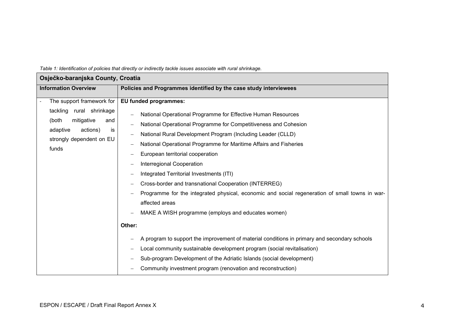<span id="page-7-1"></span><span id="page-7-0"></span>

| Osječko-baranjska County, Croatia                                                                                                                      |                                                                                                                                                                                                                                                                                                                                                                                                                                                                                                                                                                                                                                                                                                                                                                                                                                                                                                                                                                                  |  |
|--------------------------------------------------------------------------------------------------------------------------------------------------------|----------------------------------------------------------------------------------------------------------------------------------------------------------------------------------------------------------------------------------------------------------------------------------------------------------------------------------------------------------------------------------------------------------------------------------------------------------------------------------------------------------------------------------------------------------------------------------------------------------------------------------------------------------------------------------------------------------------------------------------------------------------------------------------------------------------------------------------------------------------------------------------------------------------------------------------------------------------------------------|--|
| <b>Information Overview</b>                                                                                                                            | Policies and Programmes identified by the case study interviewees                                                                                                                                                                                                                                                                                                                                                                                                                                                                                                                                                                                                                                                                                                                                                                                                                                                                                                                |  |
| The support framework for<br>tackling rural shrinkage<br>(both<br>mitigative<br>and<br>adaptive<br>actions)<br>is<br>strongly dependent on EU<br>funds | <b>EU funded programmes:</b><br>National Operational Programme for Effective Human Resources<br>National Operational Programme for Competitiveness and Cohesion<br>National Rural Development Program (Including Leader (CLLD)<br>National Operational Programme for Maritime Affairs and Fisheries<br>European territorial cooperation<br>Interregional Cooperation<br>Integrated Territorial Investments (ITI)<br>Cross-border and transnational Cooperation (INTERREG)<br>Programme for the integrated physical, economic and social regeneration of small towns in war-<br>affected areas<br>MAKE A WISH programme (employs and educates women)<br>Other:<br>A program to support the improvement of material conditions in primary and secondary schools<br>Local community sustainable development program (social revitalisation)<br>Sub-program Development of the Adriatic Islands (social development)<br>Community investment program (renovation and reconstruction) |  |

*Table 1: Identification of policies that directly or indirectly tackle issues associate with rural shrinkage.*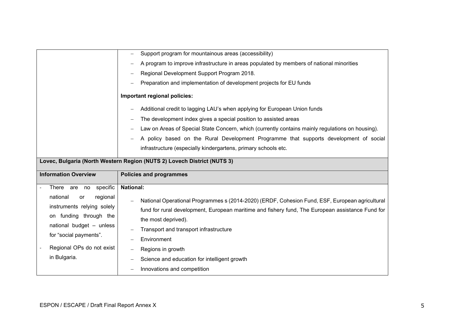|                                                                                                                                          | Support program for mountainous areas (accessibility)                                                                                                                                                                                                               |  |  |
|------------------------------------------------------------------------------------------------------------------------------------------|---------------------------------------------------------------------------------------------------------------------------------------------------------------------------------------------------------------------------------------------------------------------|--|--|
|                                                                                                                                          | A program to improve infrastructure in areas populated by members of national minorities                                                                                                                                                                            |  |  |
|                                                                                                                                          | Regional Development Support Program 2018.                                                                                                                                                                                                                          |  |  |
|                                                                                                                                          | Preparation and implementation of development projects for EU funds                                                                                                                                                                                                 |  |  |
|                                                                                                                                          | Important regional policies:                                                                                                                                                                                                                                        |  |  |
|                                                                                                                                          | Additional credit to lagging LAU's when applying for European Union funds                                                                                                                                                                                           |  |  |
|                                                                                                                                          | The development index gives a special position to assisted areas                                                                                                                                                                                                    |  |  |
|                                                                                                                                          | Law on Areas of Special State Concern, which (currently contains mainly regulations on housing).                                                                                                                                                                    |  |  |
|                                                                                                                                          | A policy based on the Rural Development Programme that supports development of social                                                                                                                                                                               |  |  |
|                                                                                                                                          | infrastructure (especially kindergartens, primary schools etc.                                                                                                                                                                                                      |  |  |
| Lovec, Bulgaria (North Western Region (NUTS 2) Lovech District (NUTS 3)                                                                  |                                                                                                                                                                                                                                                                     |  |  |
|                                                                                                                                          |                                                                                                                                                                                                                                                                     |  |  |
|                                                                                                                                          |                                                                                                                                                                                                                                                                     |  |  |
| <b>Information Overview</b>                                                                                                              | <b>Policies and programmes</b>                                                                                                                                                                                                                                      |  |  |
| There are no specific                                                                                                                    | <b>National:</b>                                                                                                                                                                                                                                                    |  |  |
| national<br>regional<br>or<br>instruments relying solely<br>on funding through the<br>national budget - unless<br>for "social payments". | National Operational Programmes s (2014-2020) (ERDF, Cohesion Fund, ESF, European agricultural<br>fund for rural development, European maritime and fishery fund, The European assistance Fund for<br>the most deprived).<br>Transport and transport infrastructure |  |  |
|                                                                                                                                          | Environment                                                                                                                                                                                                                                                         |  |  |
| Regional OPs do not exist                                                                                                                | Regions in growth                                                                                                                                                                                                                                                   |  |  |
| in Bulgaria.                                                                                                                             | Science and education for intelligent growth<br>Innovations and competition                                                                                                                                                                                         |  |  |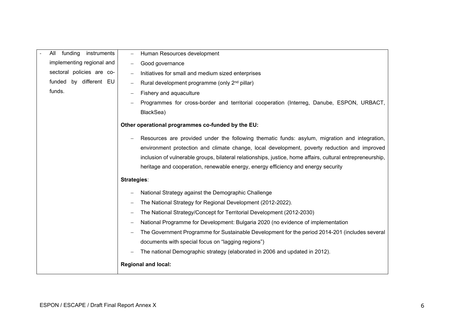| funding<br>instruments<br>All | Human Resources development                                                                                |
|-------------------------------|------------------------------------------------------------------------------------------------------------|
| implementing regional and     | Good governance<br>-                                                                                       |
| sectoral policies are co-     | Initiatives for small and medium sized enterprises<br>$\overline{\phantom{m}}$                             |
| funded by different EU        | Rural development programme (only 2 <sup>nd</sup> pillar)                                                  |
| funds.                        | Fishery and aquaculture                                                                                    |
|                               | Programmes for cross-border and territorial cooperation (Interreg, Danube, ESPON, URBACT,                  |
|                               | BlackSea)                                                                                                  |
|                               | Other operational programmes co-funded by the EU:                                                          |
|                               | Resources are provided under the following thematic funds: asylum, migration and integration,              |
|                               | environment protection and climate change, local development, poverty reduction and improved               |
|                               | inclusion of vulnerable groups, bilateral relationships, justice, home affairs, cultural entrepreneurship, |
|                               | heritage and cooperation, renewable energy, energy efficiency and energy security                          |
|                               | Strategies:                                                                                                |
|                               | National Strategy against the Demographic Challenge                                                        |
|                               | The National Strategy for Regional Development (2012-2022).                                                |
|                               | The National Strategy/Concept for Territorial Development (2012-2030)                                      |
|                               | National Programme for Development: Bulgaria 2020 (no evidence of implementation                           |
|                               | The Government Programme for Sustainable Development for the period 2014-201 (includes several             |
|                               | documents with special focus on "lagging regions")                                                         |
|                               | The national Demographic strategy (elaborated in 2006 and updated in 2012).                                |
|                               | <b>Regional and local:</b>                                                                                 |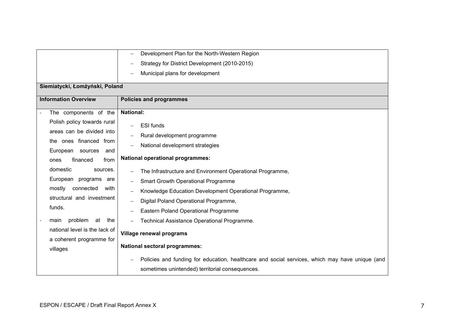|                                | Development Plan for the North-Western Region                                                                                                     |  |
|--------------------------------|---------------------------------------------------------------------------------------------------------------------------------------------------|--|
|                                | Strategy for District Development (2010-2015)                                                                                                     |  |
|                                | Municipal plans for development                                                                                                                   |  |
| Siemiatycki, Łomżyński, Poland |                                                                                                                                                   |  |
|                                |                                                                                                                                                   |  |
| <b>Information Overview</b>    | <b>Policies and programmes</b>                                                                                                                    |  |
| The components of the          | <b>National:</b>                                                                                                                                  |  |
| Polish policy towards rural    | <b>ESI</b> funds                                                                                                                                  |  |
| areas can be divided into      | Rural development programme                                                                                                                       |  |
| the ones financed from         | National development strategies                                                                                                                   |  |
| European sources<br>and        |                                                                                                                                                   |  |
| financed<br>from<br>ones       | <b>National operational programmes:</b>                                                                                                           |  |
| domestic<br>sources.           | The Infrastructure and Environment Operational Programme,                                                                                         |  |
| European programs are          | <b>Smart Growth Operational Programme</b>                                                                                                         |  |
| mostly<br>connected<br>with    | Knowledge Education Development Operational Programme,                                                                                            |  |
| structural and investment      | Digital Poland Operational Programme,                                                                                                             |  |
| funds.                         | Eastern Poland Operational Programme                                                                                                              |  |
| problem<br>at<br>the<br>main   | Technical Assistance Operational Programme.                                                                                                       |  |
| national level is the lack of  |                                                                                                                                                   |  |
| a coherent programme for       | Village renewal programs                                                                                                                          |  |
| villages                       | <b>National sectoral programmes:</b>                                                                                                              |  |
|                                | Policies and funding for education, healthcare and social services, which may have unique (and<br>sometimes unintended) territorial consequences. |  |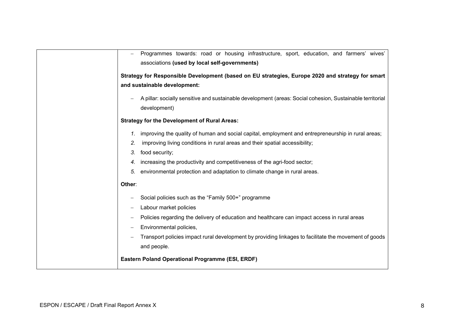|        | Programmes towards: road or housing infrastructure, sport, education, and farmers' wives'                 |
|--------|-----------------------------------------------------------------------------------------------------------|
|        | associations (used by local self-governments)                                                             |
|        | Strategy for Responsible Development (based on EU strategies, Europe 2020 and strategy for smart          |
|        | and sustainable development:                                                                              |
|        | A pillar: socially sensitive and sustainable development (areas: Social cohesion, Sustainable territorial |
|        | development)                                                                                              |
|        | <b>Strategy for the Development of Rural Areas:</b>                                                       |
|        | improving the quality of human and social capital, employment and entrepreneurship in rural areas;        |
| 2.     | improving living conditions in rural areas and their spatial accessibility;                               |
| 3.     | food security;                                                                                            |
|        | increasing the productivity and competitiveness of the agri-food sector;                                  |
| 5.     | environmental protection and adaptation to climate change in rural areas.                                 |
| Other: |                                                                                                           |
|        | Social policies such as the "Family 500+" programme                                                       |
|        | Labour market policies                                                                                    |
|        | Policies regarding the delivery of education and healthcare can impact access in rural areas              |
|        | Environmental policies,                                                                                   |
|        | Transport policies impact rural development by providing linkages to facilitate the movement of goods     |
|        | and people.                                                                                               |
|        | Eastern Poland Operational Programme (ESI, ERDF)                                                          |
|        |                                                                                                           |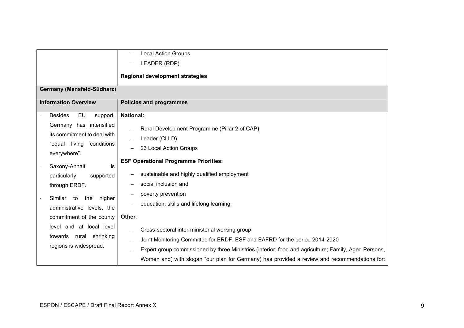|                                                                                                                                                                                                                                            | <b>Local Action Groups</b>                                                                                                                                                                                                                                                                                                            |  |  |
|--------------------------------------------------------------------------------------------------------------------------------------------------------------------------------------------------------------------------------------------|---------------------------------------------------------------------------------------------------------------------------------------------------------------------------------------------------------------------------------------------------------------------------------------------------------------------------------------|--|--|
|                                                                                                                                                                                                                                            | LEADER (RDP)                                                                                                                                                                                                                                                                                                                          |  |  |
|                                                                                                                                                                                                                                            | <b>Regional development strategies</b>                                                                                                                                                                                                                                                                                                |  |  |
| Germany (Mansfeld-Südharz)                                                                                                                                                                                                                 |                                                                                                                                                                                                                                                                                                                                       |  |  |
| <b>Information Overview</b>                                                                                                                                                                                                                | <b>Policies and programmes</b>                                                                                                                                                                                                                                                                                                        |  |  |
| <b>Besides</b><br>EU<br>support,                                                                                                                                                                                                           | <b>National:</b>                                                                                                                                                                                                                                                                                                                      |  |  |
| Germany has intensified<br>its commitment to deal with<br>"equal living<br>conditions<br>everywhere".<br>Saxony-Anhalt<br>is<br>particularly<br>supported<br>through ERDF.<br>higher<br>Similar<br>to<br>the<br>administrative levels, the | Rural Development Programme (Pillar 2 of CAP)<br>Leader (CLLD)<br>23 Local Action Groups<br><b>ESF Operational Programme Priorities:</b><br>sustainable and highly qualified employment<br>social inclusion and<br>poverty prevention<br>education, skills and lifelong learning.                                                     |  |  |
| commitment of the county                                                                                                                                                                                                                   | Other:                                                                                                                                                                                                                                                                                                                                |  |  |
| level and at local level<br>towards<br>rural<br>shrinking<br>regions is widespread.                                                                                                                                                        | Cross-sectoral inter-ministerial working group<br>Joint Monitoring Committee for ERDF, ESF and EAFRD for the period 2014-2020<br>Expert group commissioned by three Ministries (interior; food and agriculture; Family, Aged Persons,<br>Women and) with slogan "our plan for Germany) has provided a review and recommendations for: |  |  |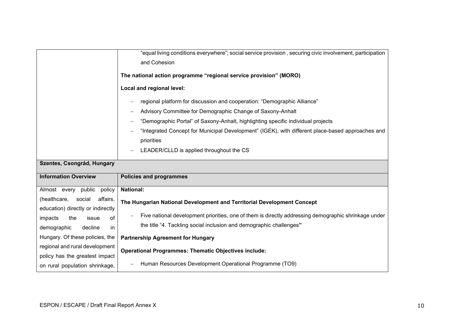|                                    | "equal living conditions everywhere"; social service provision, securing civic involvement, participation<br>and Cohesion |
|------------------------------------|---------------------------------------------------------------------------------------------------------------------------|
|                                    | The national action programme "regional service provision" (MORO)                                                         |
|                                    | Local and regional level:                                                                                                 |
|                                    | regional platform for discussion and cooperation: "Demographic Alliance"                                                  |
|                                    | Advisory Committee for Demographic Change of Saxony-Anhalt                                                                |
|                                    | "Demographic Portal" of Saxony-Anhalt, highlighting specific individual projects                                          |
|                                    | "Integrated Concept for Municipal Development" (IGEK), with different place-based approaches and                          |
|                                    | priorities                                                                                                                |
|                                    | LEADER/CLLD is applied throughout the CS                                                                                  |
|                                    |                                                                                                                           |
| Szentes, Csongrád, Hungary         |                                                                                                                           |
| <b>Information Overview</b>        | <b>Policies and programmes</b>                                                                                            |
| Almost every public<br>policy      | <b>National:</b>                                                                                                          |
| (healthcare,<br>affairs,<br>social |                                                                                                                           |
| education) directly or indirectly  | The Hungarian National Development and Territorial Development Concept                                                    |
| the<br>of<br>impacts<br>issue      | Five national development priorities, one of them is directly addressing demographic shrinkage under                      |
| demographic<br>decline<br>in       | the title "4. Tackling social inclusion and demographic challenges"                                                       |
| Hungary. Of these policies, the    | <b>Partnership Agreement for Hungary</b>                                                                                  |
| regional and rural development     |                                                                                                                           |
| policy has the greatest impact     | <b>Operational Programmes: Thematic Objectives include:</b><br>Human Resources Development Operational Programme (TO9)    |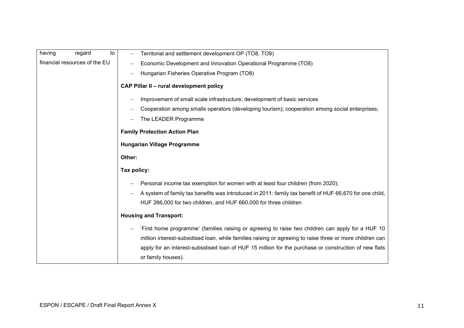| having | regard                        | to | Territorial and settlement development OP (TO8, TO9)                                                                        |
|--------|-------------------------------|----|-----------------------------------------------------------------------------------------------------------------------------|
|        | financial resources of the EU |    | Economic Development and Innovation Operational Programme (TO8)                                                             |
|        |                               |    | Hungarian Fisheries Operative Program (TO8)                                                                                 |
|        |                               |    | <b>CAP Pillar II - rural development policy</b>                                                                             |
|        |                               |    | Improvement of small scale infrastructure; development of basic services                                                    |
|        |                               |    | Cooperation among smalls operators (developing tourism); cooperation among social enterprises;                              |
|        |                               |    | The LEADER Programme                                                                                                        |
|        |                               |    | <b>Family Protection Action Plan</b>                                                                                        |
|        |                               |    | <b>Hungarian Village Programme</b>                                                                                          |
|        |                               |    | Other:                                                                                                                      |
|        |                               |    | Tax policy:                                                                                                                 |
|        |                               |    | Personal income tax exemption for women with at least four children (from 2020);                                            |
|        |                               |    | A system of family tax benefits was introduced in 2011: family tax benefit of HUF 66,670 for one child,                     |
|        |                               |    | HUF 266,000 for two children, and HUF 660,000 for three children                                                            |
|        |                               |    | <b>Housing and Transport:</b>                                                                                               |
|        |                               |    | 'First home programme' (families raising or agreeing to raise two children can apply for a HUF 10                           |
|        |                               |    | million interest-subsidised loan, while families raising or agreeing to raise three or more children can                    |
|        |                               |    | apply for an interest-subsidised loan of HUF 15 million for the purchase or construction of new flats<br>or family houses). |
|        |                               |    |                                                                                                                             |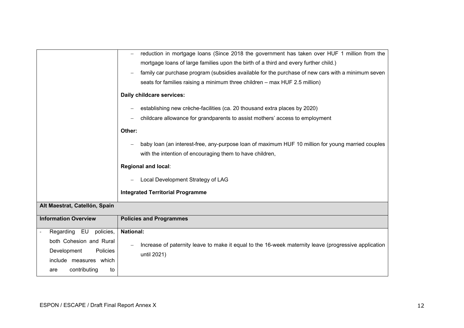|                               | reduction in mortgage loans (Since 2018 the government has taken over HUF 1 million from the         |
|-------------------------------|------------------------------------------------------------------------------------------------------|
|                               | mortgage loans of large families upon the birth of a third and every further child.)                 |
|                               | family car purchase program (subsidies available for the purchase of new cars with a minimum seven   |
|                               | seats for families raising a minimum three children - max HUF 2.5 million)                           |
|                               | Daily childcare services:                                                                            |
|                               | establishing new crèche-facilities (ca. 20 thousand extra places by 2020)                            |
|                               | childcare allowance for grandparents to assist mothers' access to employment                         |
|                               | Other:                                                                                               |
|                               | baby loan (an interest-free, any-purpose loan of maximum HUF 10 million for young married couples    |
|                               | with the intention of encouraging them to have children,                                             |
|                               | <b>Regional and local:</b>                                                                           |
|                               | Local Development Strategy of LAG                                                                    |
|                               | <b>Integrated Territorial Programme</b>                                                              |
| Alt Maestrat, Catellón, Spain |                                                                                                      |
|                               |                                                                                                      |
| <b>Information Overview</b>   | <b>Policies and Programmes</b>                                                                       |
| Regarding EU<br>policies,     | <b>National:</b>                                                                                     |
| both Cohesion and Rural       |                                                                                                      |
| Development<br>Policies       | Increase of paternity leave to make it equal to the 16-week maternity leave (progressive application |
|                               |                                                                                                      |
| include measures which        | until 2021)                                                                                          |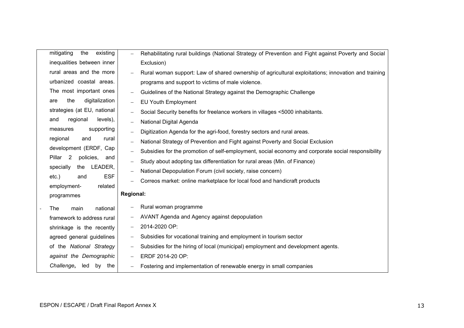| mitigating<br>the<br>existing                       | Rehabilitating rural buildings (National Strategy of Prevention and Fight against Poverty and Social |
|-----------------------------------------------------|------------------------------------------------------------------------------------------------------|
| inequalities between inner                          | Exclusion)                                                                                           |
| rural areas and the more                            | Rural woman support: Law of shared ownership of agricultural exploitations; innovation and training  |
| urbanized coastal areas.                            | programs and support to victims of male violence.                                                    |
| The most important ones                             | Guidelines of the National Strategy against the Demographic Challenge                                |
| digitalization<br>the<br>are                        | <b>EU Youth Employment</b>                                                                           |
| strategies (at EU, national                         | Social Security benefits for freelance workers in villages <5000 inhabitants.                        |
| levels),<br>regional<br>and                         | National Digital Agenda                                                                              |
| supporting<br>measures                              | Digitization Agenda for the agri-food, forestry sectors and rural areas.                             |
| regional<br>and<br>rural                            | National Strategy of Prevention and Fight against Poverty and Social Exclusion                       |
| development (ERDF, Cap                              | Subsidies for the promotion of self-employment, social economy and corporate social responsibility   |
| Pillar <sub>2</sub><br>policies,<br>and             | Study about adopting tax differentiation for rural areas (Min. of Finance)                           |
| specially<br>the<br>LEADER,                         | National Depopulation Forum (civil society, raise concern)                                           |
| <b>ESF</b><br>$etc.$ )<br>and                       | Correos market: online marketplace for local food and handicraft products                            |
| employment-<br>related                              |                                                                                                      |
| programmes                                          | <b>Regional:</b>                                                                                     |
| national<br>The<br>main<br>$\overline{\phantom{a}}$ | Rural woman programme                                                                                |
| framework to address rural                          | AVANT Agenda and Agency against depopulation                                                         |
| shrinkage is the recently                           | 2014-2020 OP:<br>$\qquad \qquad -$                                                                   |
| agreed general guidelines                           | Subsidies for vocational training and employment in tourism sector                                   |
| of the National Strategy                            | Subsidies for the hiring of local (municipal) employment and development agents.                     |
| against the Demographic                             | ERDF 2014-20 OP:                                                                                     |
| Challenge,<br>led<br>by<br>the                      | Fostering and implementation of renewable energy in small companies                                  |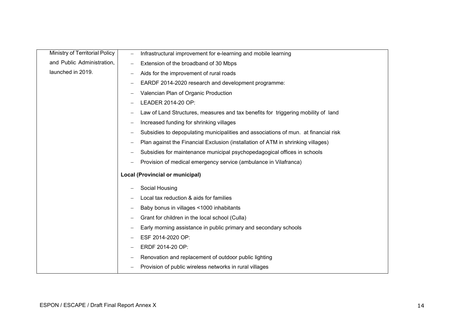| Ministry of Territorial Policy |                          | Infrastructural improvement for e-learning and mobile learning                      |
|--------------------------------|--------------------------|-------------------------------------------------------------------------------------|
|                                | $\overline{\phantom{m}}$ |                                                                                     |
| and Public Administration,     | -                        | Extension of the broadband of 30 Mbps                                               |
| launched in 2019.              |                          | Aids for the improvement of rural roads                                             |
|                                |                          | EARDF 2014-2020 research and development programme:                                 |
|                                |                          | Valencian Plan of Organic Production                                                |
|                                |                          | LEADER 2014-20 OP:                                                                  |
|                                |                          | Law of Land Structures, measures and tax benefits for triggering mobility of land   |
|                                |                          | Increased funding for shrinking villages                                            |
|                                |                          | Subsidies to depopulating municipalities and associations of mun. at financial risk |
|                                |                          | Plan against the Financial Exclusion (installation of ATM in shrinking villages)    |
|                                |                          | Subsidies for maintenance municipal psychopedagogical offices in schools            |
|                                |                          | Provision of medical emergency service (ambulance in Vilafranca)                    |
|                                |                          | <b>Local (Provincial or municipal)</b>                                              |
|                                |                          | Social Housing                                                                      |
|                                |                          | Local tax reduction & aids for families                                             |
|                                |                          | Baby bonus in villages <1000 inhabitants                                            |
|                                |                          | Grant for children in the local school (Culla)                                      |
|                                |                          | Early morning assistance in public primary and secondary schools                    |
|                                |                          | ESF 2014-2020 OP:                                                                   |
|                                |                          | ERDF 2014-20 OP:                                                                    |
|                                | —                        | Renovation and replacement of outdoor public lighting                               |
|                                |                          | Provision of public wireless networks in rural villages                             |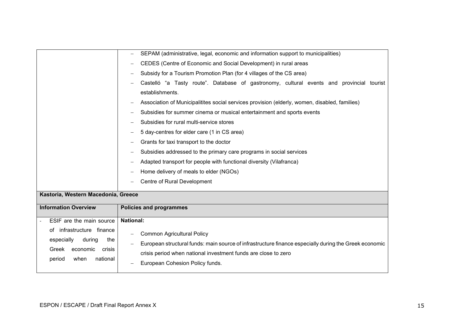|                                                                                            | SEPAM (administrative, legal, economic and information support to municipalities)                                                                                                                            |  |  |  |
|--------------------------------------------------------------------------------------------|--------------------------------------------------------------------------------------------------------------------------------------------------------------------------------------------------------------|--|--|--|
|                                                                                            | CEDES (Centre of Economic and Social Development) in rural areas                                                                                                                                             |  |  |  |
|                                                                                            | Subsidy for a Tourism Promotion Plan (for 4 villages of the CS area)                                                                                                                                         |  |  |  |
|                                                                                            | Castelló "a Tasty route". Database of gastronomy, cultural events and provincial tourist<br>establishments.                                                                                                  |  |  |  |
|                                                                                            | Association of Municipalitites social services provision (elderly, women, disabled, families)                                                                                                                |  |  |  |
|                                                                                            | Subsidies for summer cinema or musical entertainment and sports events                                                                                                                                       |  |  |  |
|                                                                                            | Subsidies for rural multi-service stores                                                                                                                                                                     |  |  |  |
|                                                                                            | 5 day-centres for elder care (1 in CS area)                                                                                                                                                                  |  |  |  |
|                                                                                            | Grants for taxi transport to the doctor                                                                                                                                                                      |  |  |  |
|                                                                                            | Subsidies addressed to the primary care programs in social services                                                                                                                                          |  |  |  |
|                                                                                            | Adapted transport for people with functional diversity (Vilafranca)                                                                                                                                          |  |  |  |
|                                                                                            | Home delivery of meals to elder (NGOs)                                                                                                                                                                       |  |  |  |
|                                                                                            | Centre of Rural Development                                                                                                                                                                                  |  |  |  |
| Kastoria, Western Macedonia, Greece                                                        |                                                                                                                                                                                                              |  |  |  |
| <b>Information Overview</b>                                                                | <b>Policies and programmes</b>                                                                                                                                                                               |  |  |  |
| ESIF are the main source                                                                   | <b>National:</b>                                                                                                                                                                                             |  |  |  |
| infrastructure finance<br>ot<br>especially<br>during<br>the<br>Greek<br>economic<br>crisis | <b>Common Agricultural Policy</b><br>European structural funds: main source of infrastructure finance especially during the Greek economic<br>crisis period when national investment funds are close to zero |  |  |  |
| national<br>period<br>when                                                                 | European Cohesion Policy funds.                                                                                                                                                                              |  |  |  |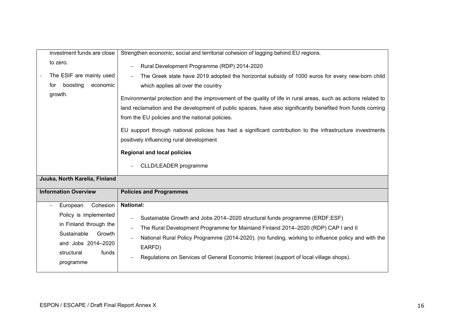|                                                                    | Strengthen economic, social and territorial cohesion of lagging behind EU regions.                                                                                                                                                                                                                                                                                                                                                                                                                                                                                                |
|--------------------------------------------------------------------|-----------------------------------------------------------------------------------------------------------------------------------------------------------------------------------------------------------------------------------------------------------------------------------------------------------------------------------------------------------------------------------------------------------------------------------------------------------------------------------------------------------------------------------------------------------------------------------|
| to zero.                                                           | Rural Development Programme (RDP) 2014-2020                                                                                                                                                                                                                                                                                                                                                                                                                                                                                                                                       |
| The ESIF are mainly used<br>boosting<br>economic<br>for<br>growth. | The Greek state have 2019 adopted the horizontal subsidy of 1000 euros for every new-born child<br>which applies all over the country<br>Environmental protection and the improvement of the quality of life in rural areas, such as actions related to<br>land reclamation and the development of public spaces, have also significantly benefited from funds coming<br>from the EU policies and the national policies.<br>EU support through national policies has had a significant contribution to the infrastructure investments<br>positively influencing rural development |
|                                                                    | <b>Regional and local policies</b><br>CLLD/LEADER programme                                                                                                                                                                                                                                                                                                                                                                                                                                                                                                                       |
|                                                                    |                                                                                                                                                                                                                                                                                                                                                                                                                                                                                                                                                                                   |
| Juuka, North Karelia, Finland                                      |                                                                                                                                                                                                                                                                                                                                                                                                                                                                                                                                                                                   |
| <b>Information Overview</b>                                        | <b>Policies and Programmes</b><br><b>National:</b>                                                                                                                                                                                                                                                                                                                                                                                                                                                                                                                                |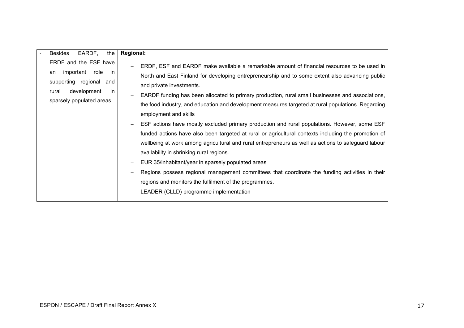| <b>Besides</b><br>EARDF,<br>the                                                                                                                 | <b>Regional:</b>                                                                                                                                                                                                                                                                                                                                                                                                                                                                                                                                                                                                                                                                                                                                                                                                                                                                                                                                                                                                                                                                    |
|-------------------------------------------------------------------------------------------------------------------------------------------------|-------------------------------------------------------------------------------------------------------------------------------------------------------------------------------------------------------------------------------------------------------------------------------------------------------------------------------------------------------------------------------------------------------------------------------------------------------------------------------------------------------------------------------------------------------------------------------------------------------------------------------------------------------------------------------------------------------------------------------------------------------------------------------------------------------------------------------------------------------------------------------------------------------------------------------------------------------------------------------------------------------------------------------------------------------------------------------------|
| ERDF and the ESF have<br>important role<br>- in<br>an<br>supporting regional<br>and<br>development<br>in.<br>rural<br>sparsely populated areas. | ERDF, ESF and EARDF make available a remarkable amount of financial resources to be used in<br>North and East Finland for developing entrepreneurship and to some extent also advancing public<br>and private investments.<br>EARDF funding has been allocated to primary production, rural small businesses and associations,<br>the food industry, and education and development measures targeted at rural populations. Regarding<br>employment and skills<br>ESF actions have mostly excluded primary production and rural populations. However, some ESF<br>funded actions have also been targeted at rural or agricultural contexts including the promotion of<br>wellbeing at work among agricultural and rural entrepreneurs as well as actions to safeguard labour<br>availability in shrinking rural regions.<br>EUR 35/inhabitant/year in sparsely populated areas<br>Regions possess regional management committees that coordinate the funding activities in their<br>regions and monitors the fulfilment of the programmes.<br>LEADER (CLLD) programme implementation |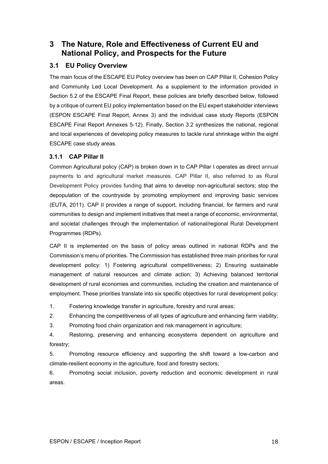# <span id="page-21-0"></span>**3 The Nature, Role and Effectiveness of Current EU and National Policy, and Prospects for the Future**

# <span id="page-21-1"></span>**3.1 EU Policy Overview**

The main focus of the ESCAPE EU Policy overview has been on CAP Pillar II, Cohesion Policy and Community Led Local Development. As a supplement to the information provided in Section 5.2 of the ESCAPE Final Report, these policies are briefly described below, followed by a critique of current EU policy implementation based on the EU expert stakeholder interviews (ESPON ESCAPE Final Report, Annex 3) and the individual case study Reports (ESPON ESCAPE Final Report Annexes 5-12). Finally, Section 3.2 synthesizes the national, regional and local experiences of developing policy measures to tackle rural shrinkage within the eight ESCAPE case study areas.

## <span id="page-21-2"></span>**3.1.1 CAP Pillar II**

Common Agricultural policy (CAP) is broken down in to CAP Pillar I operates as direct annual payments to and agricultural market measures. CAP Pillar II, also referred to as Rural Development Policy provides funding that aims to develop non-agricultural sectors; stop the depopulation of the countryside by promoting employment and improving basic services (EUTA, 2011). CAP II provides a range of support, including financial, for farmers and rural communities to design and implement initiatives that meet a range of economic, environmental, and societal challenges through the implementation of national/regional Rural Development Programmes (RDPs).

CAP II is implemented on the basis of policy areas outlined in national RDPs and the Commission's menu of priorities. The Commission has established three main priorities for rural development policy: 1) Fostering agricultural competitiveness; 2) Ensuring sustainable management of natural resources and climate action; 3) Achieving balanced territorial development of rural economies and communities, including the creation and maintenance of employment. These priorities translate into six specific objectives for rural development policy:

1. Fostering knowledge transfer in agriculture, forestry and rural areas;

2. Enhancing the competitiveness of all types of agriculture and enhancing farm viability;

3. Promoting food chain organization and risk management in agriculture;

4. Restoring, preserving and enhancing ecosystems dependent on agriculture and forestry;

5. Promoting resource efficiency and supporting the shift toward a low-carbon and climate-resilient economy in the agriculture, food and forestry sectors;

6. Promoting social inclusion, poverty reduction and economic development in rural areas.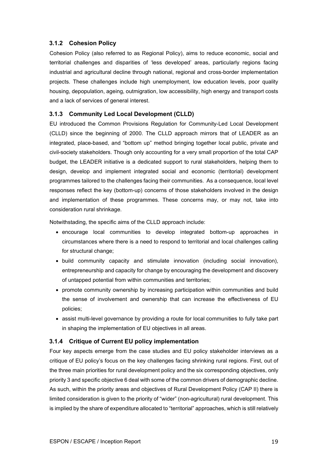## <span id="page-22-0"></span>**3.1.2 Cohesion Policy**

Cohesion Policy (also referred to as Regional Policy), aims to reduce economic, social and territorial challenges and disparities of 'less developed' areas, particularly regions facing industrial and agricultural decline through national, regional and cross-border implementation projects. These challenges include high unemployment, low education levels, poor quality housing, depopulation, ageing, outmigration, low accessibility, high energy and transport costs and a lack of services of general interest.

### <span id="page-22-1"></span>**3.1.3 Community Led Local Development (CLLD)**

EU introduced the Common Provisions Regulation for Community-Led Local Development (CLLD) since the beginning of 2000. The CLLD approach mirrors that of LEADER as an integrated, place-based, and "bottom up" method bringing together local public, private and civil-society stakeholders. Though only accounting for a very small proportion of the total CAP budget, the LEADER initiative is a dedicated support to rural stakeholders, helping them to design, develop and implement integrated social and economic (territorial) development programmes tailored to the challenges facing their communities. As a consequence, local level responses reflect the key (bottom-up) concerns of those stakeholders involved in the design and implementation of these programmes. These concerns may, or may not, take into consideration rural shrinkage.

Notwithstading, the specific aims of the CLLD approach include:

- encourage local communities to develop integrated bottom-up approaches in circumstances where there is a need to respond to territorial and local challenges calling for structural change;
- build community capacity and stimulate innovation (including social innovation), entrepreneurship and capacity for change by encouraging the development and discovery of untapped potential from within communities and territories;
- promote community ownership by increasing participation within communities and build the sense of involvement and ownership that can increase the effectiveness of EU policies;
- assist multi-level governance by providing a route for local communities to fully take part in shaping the implementation of EU objectives in all areas.

#### <span id="page-22-2"></span>**3.1.4 Critique of Current EU policy implementation**

Four key aspects emerge from the case studies and EU policy stakeholder interviews as a critique of EU policy's focus on the key challenges facing shrinking rural regions. First, out of the three main priorities for rural development policy and the six corresponding objectives, only priority 3 and specific objective 6 deal with some of the common drivers of demographic decline. As such, within the priority areas and objectives of Rural Development Policy (CAP II) there is limited consideration is given to the priority of "wider" (non-agricultural) rural development. This is implied by the share of expenditure allocated to "territorial" approaches, which is still relatively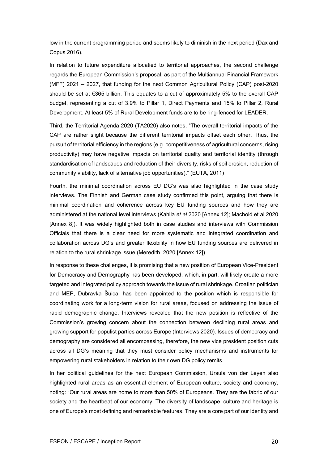low in the current programming period and seems likely to diminish in the next period (Dax and Copus 2016).

In relation to future expenditure allocatied to territorial approaches, the second challenge regards the European Commission's proposal, as part of the Multiannual Financial Framework (MFF) 2021 – 2027, that funding for the next Common Agricultural Policy (CAP) post-2020 should be set at €365 billion. This equates to a cut of approximately 5% to the overall CAP budget, representing a cut of 3.9% to Pillar 1, Direct Payments and 15% to Pillar 2, Rural Development. At least 5% of Rural Development funds are to be ring-fenced for LEADER.

Third, the Territorial Agenda 2020 (TA2020) also notes, "The overall territorial impacts of the CAP are rather slight because the different territorial impacts offset each other. Thus, the pursuit of territorial efficiency in the regions (e.g. competitiveness of agricultural concerns, rising productivity) may have negative impacts on territorial quality and territorial identity (through standardisation of landscapes and reduction of their diversity, risks of soil erosion, reduction of community viability, lack of alternative job opportunities)." (EUTA, 2011)

Fourth, the minimal coordination across EU DG's was also highlighted in the case study interviews. The Finnish and German case study confirmed this point, arguing that there is minimal coordination and coherence across key EU funding sources and how they are administered at the national level interviews (Kahila *et al* 2020 [Annex 12]; Machold et al 2020 [Annex 8]). It was widely highlighted both in case studies and interviews with Commission Officials that there is a clear need for more systematic and integrated coordination and collaboration across DG's and greater flexibility in how EU funding sources are delivered in relation to the rural shrinkage issue (Meredith, 2020 [Annex 12]).

In response to these challenges, it is promising that a new position of European Vice-President for Democracy and Demography has been developed, which, in part, will likely create a more targeted and integrated policy approach towards the issue of rural shrinkage. Croatian politician and MEP, Dubravka Šuica, has been appointed to the position which is responsible for coordinating work for a long-term vision for rural areas, focused on addressing the issue of rapid demographic change. Interviews revealed that the new position is reflective of the Commission's growing concern about the connection between declining rural areas and growing support for populist parties across Europe (Interviews 2020). Issues of democracy and demography are considered all encompassing, therefore, the new vice president position cuts across all DG's meaning that they must consider policy mechanisms and instruments for empowering rural stakeholders in relation to their own DG policy remits.

In her political guidelines for the next European Commission, Ursula von der Leyen also highlighted rural areas as an essential element of European culture, society and economy, noting: "Our rural areas are home to more than 50% of Europeans. They are the fabric of our society and the heartbeat of our economy. The diversity of landscape, culture and heritage is one of Europe's most defining and remarkable features. They are a core part of our identity and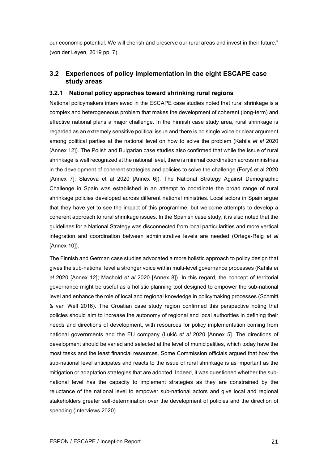our economic potential. We will cherish and preserve our rural areas and invest in their future." (von der Leyen, 2019 pp. 7)

# <span id="page-24-0"></span>**3.2 Experiences of policy implementation in the eight ESCAPE case study areas**

### <span id="page-24-1"></span>**3.2.1 National policy appraches toward shrinking rural regions**

National policymakers interviewed in the ESCAPE case studies noted that rural shrinkage is a complex and heterogeneous problem that makes the development of coherent (long-term) and effective national plans a major challenge. In the Finnish case study area, rural shrinkage is regarded as an extremely sensitive political issue and there is no single voice or clear argument among political parties at the national level on how to solve the problem (Kahila *et al* 2020 [Annex 12]). The Polish and Bulgarian case studies also confirmed that while the issue of rural shrinkage is well recognized at the national level, there is minimal coordination across ministries in the development of coherent strategies and policies to solve the challenge (Foryś et al 2020 [Annex 7]; Slavova et al 2020 [Annex 6]). The National Strategy Against Demographic Challenge in Spain was established in an attempt to coordinate the broad range of rural shrinkage policies developed across different national ministries. Local actors in Spain argue that they have yet to see the impact of this programme, but welcome attempts to develop a coherent approach to rural shrinkage issues. In the Spanish case study, it is also noted that the guidelines for a National Strategy was disconnected from local particularities and more vertical integration and coordination between administrative levels are needed (Ortega-Reig *et al* [Annex 10]).

The Finnish and German case studies advocated a more holistic approach to policy design that gives the sub-national level a stronger voice within multi-level governance processes (Kahila *et al* 2020 [Annex 12]; Machold *et al* 2020 [Annex 8]). In this regard, the concept of territorial governance might be useful as a holistic planning tool designed to empower the sub-national level and enhance the role of local and regional knowledge in policymaking processes (Schmitt & van Well 2016). The Croatian case study region confirmed this perspective noting that policies should aim to increase the autonomy of regional and local authorities in defining their needs and directions of development, with resources for policy implementation coming from national governments and the EU company (Lukić *et al* 2020 [Annex 5]. The directions of development should be varied and selected at the level of municipalities, which today have the most tasks and the least financial resources. Some Commission officials argued that how the sub-national level anticipates and reacts to the issue of rural shrinkage is as important as the mitigation or adaptation strategies that are adopted. Indeed, it was questioned whether the subnational level has the capacity to implement strategies as they are constrained by the reluctance of the national level to empower sub-national actors and give local and regional stakeholders greater self-determination over the development of policies and the direction of spending (Interviews 2020).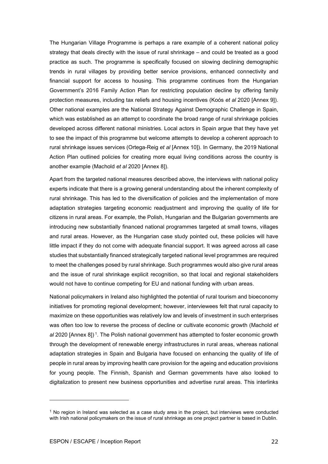The Hungarian Village Programme is perhaps a rare example of a coherent national policy strategy that deals directly with the issue of rural shrinkage – and could be treated as a good practice as such. The programme is specifically focused on slowing declining demographic trends in rural villages by providing better service provisions, enhanced connectivity and financial support for access to housing. This programme continues from the Hungarian Government's 2016 Family Action Plan for restricting population decline by offering family protection measures, including tax reliefs and housing incentives (Koós *et al* 2020 [Annex 9]). Other national examples are the National Strategy Against Demographic Challenge in Spain, which was established as an attempt to coordinate the broad range of rural shrinkage policies developed across different national ministries. Local actors in Spain argue that they have yet to see the impact of this programme but welcome attempts to develop a coherent approach to rural shrinkage issues services (Ortega-Reig *et al* [Annex 10]). In Germany, the 2019 National Action Plan outlined policies for creating more equal living conditions across the country is another example (Machold *et al* 2020 [Annex 8]).

Apart from the targeted national measures described above, the interviews with national policy experts indicate that there is a growing general understanding about the inherent complexity of rural shrinkage. This has led to the diversification of policies and the implementation of more adaptation strategies targeting economic readjustment and improving the quality of life for citizens in rural areas. For example, the Polish, Hungarian and the Bulgarian governments are introducing new substantially financed national programmes targeted at small towns, villages and rural areas. However, as the Hungarian case study pointed out, these policies will have little impact if they do not come with adequate financial support. It was agreed across all case studies that substantially financed strategically targeted national level programmes are required to meet the challenges posed by rural shrinkage. Such programmes would also give rural areas and the issue of rural shrinkage explicit recognition, so that local and regional stakeholders would not have to continue competing for EU and national funding with urban areas.

National policymakers in Ireland also highlighted the potential of rural tourism and bioeconomy initiatives for promoting regional development; however, interviewees felt that rural capacity to maximize on these opportunities was relatively low and levels of investment in such enterprises was often too low to reverse the process of decline or cultivate economic growth (Machold *et al* 2020 [Annex 8]) [1](#page-25-0). The Polish national government has attempted to foster economic growth through the development of renewable energy infrastructures in rural areas, whereas national adaptation strategies in Spain and Bulgaria have focused on enhancing the quality of life of people in rural areas by improving health care provision for the ageing and education provisions for young people. The Finnish, Spanish and German governments have also looked to digitalization to present new business opportunities and advertise rural areas. This interlinks

<span id="page-25-0"></span> $1$  No region in Ireland was selected as a case study area in the project, but interviews were conducted with Irish national policymakers on the issue of rural shrinkage as one project partner is based in Dublin.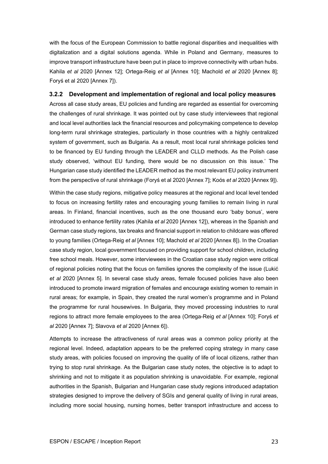with the focus of the European Commission to battle regional disparities and inequalities with digitalization and a digital solutions agenda. While in Poland and Germany, measures to improve transport infrastructure have been put in place to improve connectivity with urban hubs. Kahila *et al* 2020 [Annex 12]; Ortega-Reig *et al* [Annex 10]; Machold *et al* 2020 [Annex 8]; Foryś et al 2020 [Annex 7]).

#### <span id="page-26-0"></span>**3.2.2 Development and implementation of regional and local policy measures**

Across all case study areas, EU policies and funding are regarded as essential for overcoming the challenges of rural shrinkage. It was pointed out by case study interviewees that regional and local level authorities lack the financial resources and policymaking competence to develop long-term rural shrinkage strategies, particularly in those countries with a highly centralized system of government, such as Bulgaria. As a result, most local rural shrinkage policies tend to be financed by EU funding through the LEADER and CLLD methods. As the Polish case study observed, 'without EU funding, there would be no discussion on this issue.' The Hungarian case study identified the LEADER method as the most relevant EU policy instrument from the perspective of rural shrinkage (Foryś et al 2020 [Annex 7]; Koós *et al* 2020 [Annex 9]).

Within the case study regions, mitigative policy measures at the regional and local level tended to focus on increasing fertility rates and encouraging young families to remain living in rural areas. In Finland, financial incentives, such as the one thousand euro 'baby bonus', were introduced to enhance fertility rates (Kahila *et al* 2020 [Annex 12]), whereas in the Spanish and German case study regions, tax breaks and financial support in relation to childcare was offered to young families (Ortega-Reig *et al* [Annex 10]; Machold *et al* 2020 [Annex 8]). In the Croatian case study region, local government focused on providing support for school children, including free school meals. However, some interviewees in the Croatian case study region were critical of regional policies noting that the focus on families ignores the complexity of the issue (Lukić *et al* 2020 [Annex 5]. In several case study areas, female focused policies have also been introduced to promote inward migration of females and encourage existing women to remain in rural areas; for example, in Spain, they created the rural women's programme and in Poland the programme for rural housewives. In Bulgaria, they moved processing industries to rural regions to attract more female employees to the area (Ortega-Reig *et al* [Annex 10]; Foryś *et al* 2020 [Annex 7]; Slavova *et al* 2020 [Annex 6]).

Attempts to increase the attractiveness of rural areas was a common policy priority at the regional level. Indeed, adaptation appears to be the preferred coping strategy in many case study areas, with policies focused on improving the quality of life of local citizens, rather than trying to stop rural shrinkage. As the Bulgarian case study notes, the objective is to adapt to shrinking and not to mitigate it as population shrinking is unavoidable. For example, regional authorities in the Spanish, Bulgarian and Hungarian case study regions introduced adaptation strategies designed to improve the delivery of SGIs and general quality of living in rural areas, including more social housing, nursing homes, better transport infrastructure and access to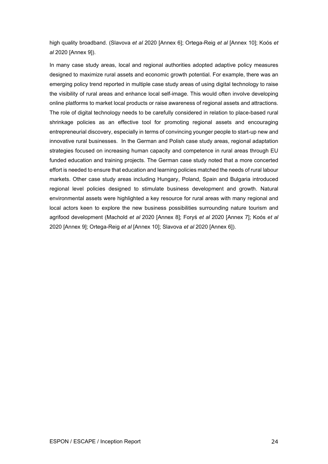high quality broadband. (Slavova *et al* 2020 [Annex 6]; Ortega-Reig *et al* [Annex 10]; Koós *et al* 2020 [Annex 9]).

In many case study areas, local and regional authorities adopted adaptive policy measures designed to maximize rural assets and economic growth potential. For example, there was an emerging policy trend reported in multiple case study areas of using digital technology to raise the visibility of rural areas and enhance local self-image. This would often involve developing online platforms to market local products or raise awareness of regional assets and attractions. The role of digital technology needs to be carefully considered in relation to place-based rural shrinkage policies as an effective tool for promoting regional assets and encouraging entrepreneurial discovery, especially in terms of convincing younger people to start-up new and innovative rural businesses. In the German and Polish case study areas, regional adaptation strategies focused on increasing human capacity and competence in rural areas through EU funded education and training projects. The German case study noted that a more concerted effort is needed to ensure that education and learning policies matched the needs of rural labour markets. Other case study areas including Hungary, Poland, Spain and Bulgaria introduced regional level policies designed to stimulate business development and growth. Natural environmental assets were highlighted a key resource for rural areas with many regional and local actors keen to explore the new business possibilities surrounding nature tourism and agrifood development (Machold *et al* 2020 [Annex 8]; Foryś *et al* 2020 [Annex 7]; Koós *et al* 2020 [Annex 9]; Ortega-Reig *et al* [Annex 10]; Slavova *et al* 2020 [Annex 6]).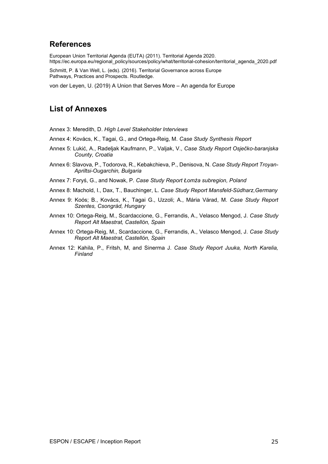# <span id="page-28-0"></span>**References**

European Union Territorial Agenda (EUTA) (2011). Territorial Agenda 2020. https://ec.europa.eu/regional\_policy/sources/policy/what/territorial-cohesion/territorial\_agenda\_2020.pdf

Schmitt, P. & Van Well, L. (eds). (2016). Territorial Governance across Europe Pathways, Practices and Prospects. Routledge.

von der Leyen, U. (2019) A Union that Serves More – An agenda for Europe

# **List of Annexes**

Annex 3: Meredith, D. *High Level Stakeholder Interviews*

- Annex 4: Kovács, K., Tagai, G., and Ortega-Reig, M. *Case Study Synthesis Report*
- Annex 5: Lukić, A., Radeljak Kaufmann, P., Valjak, V., *Case Study Report Osječko-baranjska County, Croatia*
- Annex 6: Slavova, P., Todorova, R., Kebakchieva, P., Denisova, N. *Case Study Report Troyan-Apriltsi-Ougarchin, Bulgaria*
- Annex 7: Foryś, G., and Nowak, P. *Case Study Report Łomża subregion, Poland*
- Annex 8: Machold, I., Dax, T., Bauchinger, L. *Case Study Report Mansfeld-Südharz,Germany*
- Annex 9: Koós; B., Kovács, K., Tagai G., Uzzoli; A., Mária Várad, M. *Case Study Report Szentes, Csongrád, Hungary*
- Annex 10: Ortega-Reig, M., Scardaccione, G., Ferrandis, A., Velasco Mengod, J. *Case Study Report Alt Maestrat, Castellón, Spain*
- Annex 10: Ortega-Reig, M., Scardaccione, G., Ferrandis, A., Velasco Mengod, J. *Case Study Report Alt Maestrat, Castellón, Spain*
- Annex 12: Kahila, P., Fritsh, M, and Sinerma J. *Case Study Report Juuka, North Karelia, Finland*